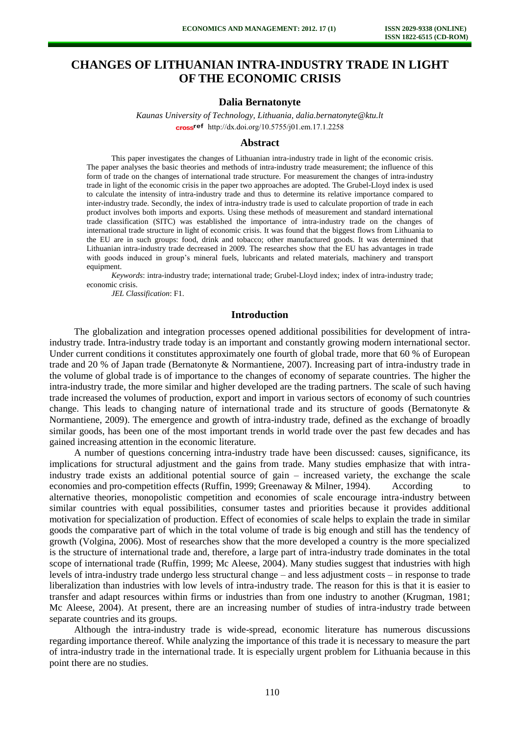# **CHANGES OF LITHUANIAN INTRA-INDUSTRY TRADE IN LIGHT OF THE ECONOMIC CRISIS**

## **Dalia Bernatonyte**

*Kaunas University of Technology, Lithuania, dalia.bernatonyte@ktu.lt*  cross<sup>ref</sup> [http://dx.doi.org/10.5755/j01.e](http://dx.doi.org/10.5755/j01.em.17.1.2258)m.17.1.2258

### **Abstract**

This paper investigates the changes of Lithuanian intra-industry trade in light of the economic crisis. The paper analyses the basic theories and methods of intra-industry trade measurement; the influence of this form of trade on the changes of international trade structure. For measurement the changes of intra-industry trade in light of the economic crisis in the paper two approaches are adopted. The Grubel-Lloyd index is used to calculate the intensity of intra-industry trade and thus to determine its relative importance compared to inter-industry trade. Secondly, the index of intra-industry trade is used to calculate proportion of trade in each product involves both imports and exports. Using these methods of measurement and standard international trade classification (SITC) was established the importance of intra-industry trade on the changes of international trade structure in light of economic crisis. It was found that the biggest flows from Lithuania to the EU are in such groups: food, drink and tobacco; other manufactured goods. It was determined that Lithuanian intra-industry trade decreased in 2009. The researches show that the EU has advantages in trade with goods induced in group's mineral fuels, lubricants and related materials, machinery and transport equipment.

*Keywords*: intra-industry trade; international trade; Grubel-Lloyd index; index of intra-industry trade; economic crisis.

*JEL Classification*: F1.

## **Introduction**

The globalization and integration processes opened additional possibilities for development of intraindustry trade. Intra-industry trade today is an important and constantly growing modern international sector. Under current conditions it constitutes approximately one fourth of global trade, more that 60 % of European trade and 20 % of Japan trade (Bernatonyte & Normantiene, 2007). Increasing part of intra-industry trade in the volume of global trade is of importance to the changes of economy of separate countries. The higher the intra-industry trade, the more similar and higher developed are the trading partners. The scale of such having trade increased the volumes of production, export and import in various sectors of economy of such countries change. This leads to changing nature of international trade and its structure of goods (Bernatonyte & Normantiene, 2009). The emergence and growth of intra-industry trade, defined as the exchange of broadly similar goods, has been one of the most important trends in world trade over the past few decades and has gained increasing attention in the economic literature.

A number of questions concerning intra-industry trade have been discussed: causes, significance, its implications for structural adjustment and the gains from trade. Many studies emphasize that with intraindustry trade exists an additional potential source of gain – increased variety, the exchange the scale economies and pro-competition effects (Ruffin, 1999; Greenaway & Milner, 1994). According to alternative theories, monopolistic competition and economies of scale encourage intra-industry between similar countries with equal possibilities, consumer tastes and priorities because it provides additional motivation for specialization of production. Effect of economies of scale helps to explain the trade in similar goods the comparative part of which in the total volume of trade is big enough and still has the tendency of growth (Volgina, 2006). Most of researches show that the more developed a country is the more specialized is the structure of international trade and, therefore, a large part of intra-industry trade dominates in the total scope of international trade (Ruffin, 1999; Mc Aleese, 2004). Many studies suggest that industries with high levels of intra-industry trade undergo less structural change – and less adjustment costs – in response to trade liberalization than industries with low levels of intra-industry trade. The reason for this is that it is easier to transfer and adapt resources within firms or industries than from one industry to another (Krugman, 1981; Mc Aleese, 2004). At present, there are an increasing number of studies of intra-industry trade between separate countries and its groups.

Although the intra-industry trade is wide-spread, economic literature has numerous discussions regarding importance thereof. While analyzing the importance of this trade it is necessary to measure the part of intra-industry trade in the international trade. It is especially urgent problem for Lithuania because in this point there are no studies.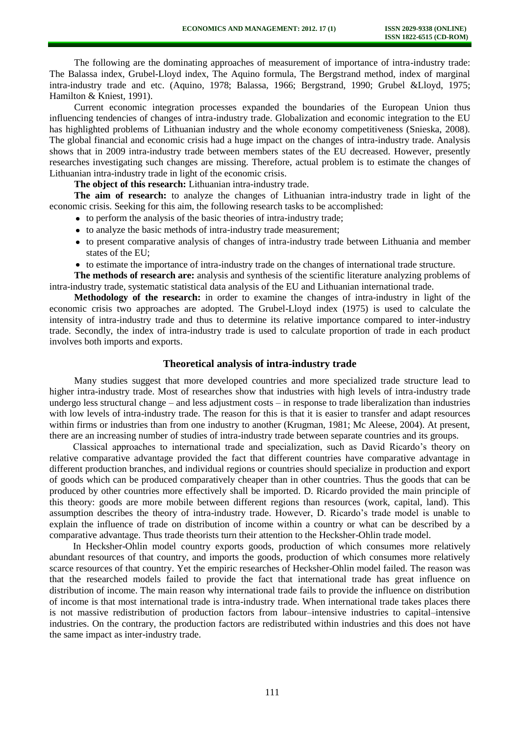The following are the dominating approaches of measurement of importance of intra-industry trade: The Balassa index, Grubel-Lloyd index, The Aquino formula, The Bergstrand method, index of marginal intra-industry trade and etc. (Aquino, 1978; Balassa, 1966; Bergstrand, 1990; Grubel &Lloyd, 1975; Hamilton & Kniest, 1991).

Current economic integration processes expanded the boundaries of the European Union thus influencing tendencies of changes of intra-industry trade. Globalization and economic integration to the EU has highlighted problems of Lithuanian industry and the whole economy competitiveness (Snieska, 2008). The global financial and economic crisis had a huge impact on the changes of intra-industry trade. Analysis shows that in 2009 intra-industry trade between members states of the EU decreased. However, presently researches investigating such changes are missing. Therefore, actual problem is to estimate the changes of Lithuanian intra-industry trade in light of the economic crisis.

**The object of this research:** Lithuanian intra-industry trade.

**The aim of research:** to analyze the changes of Lithuanian intra-industry trade in light of the economic crisis. Seeking for this aim, the following research tasks to be accomplished:

- to perform the analysis of the basic theories of intra-industry trade;
- to analyze the basic methods of intra-industry trade measurement;
- to present comparative analysis of changes of intra-industry trade between Lithuania and member states of the EU;
- to estimate the importance of intra-industry trade on the changes of international trade structure.

**The methods of research are:** analysis and synthesis of the scientific literature analyzing problems of intra-industry trade, systematic statistical data analysis of the EU and Lithuanian international trade.

**Methodology of the research:** in order to examine the changes of intra-industry in light of the economic crisis two approaches are adopted. The Grubel-Lloyd index (1975) is used to calculate the intensity of intra-industry trade and thus to determine its relative importance compared to inter-industry trade. Secondly, the index of intra-industry trade is used to calculate proportion of trade in each product involves both imports and exports.

# **Theoretical analysis of intra-industry trade**

Many studies suggest that more developed countries and more specialized trade structure lead to higher intra-industry trade. Most of researches show that industries with high levels of intra-industry trade undergo less structural change – and less adjustment costs – in response to trade liberalization than industries with low levels of intra-industry trade. The reason for this is that it is easier to transfer and adapt resources within firms or industries than from one industry to another (Krugman, 1981; Mc Aleese, 2004). At present, there are an increasing number of studies of intra-industry trade between separate countries and its groups.

Classical approaches to international trade and specialization, such as David Ricardo's theory on relative comparative advantage provided the fact that different countries have comparative advantage in different production branches, and individual regions or countries should specialize in production and export of goods which can be produced comparatively cheaper than in other countries. Thus the goods that can be produced by other countries more effectively shall be imported. D. Ricardo provided the main principle of this theory: goods are more mobile between different regions than resources (work, capital, land). This assumption describes the theory of intra-industry trade. However, D. Ricardo's trade model is unable to explain the influence of trade on distribution of income within a country or what can be described by a comparative advantage. Thus trade theorists turn their attention to the Hecksher-Ohlin trade model.

In Hecksher-Ohlin model country exports goods, production of which consumes more relatively abundant resources of that country, and imports the goods, production of which consumes more relatively scarce resources of that country. Yet the empiric researches of Hecksher-Ohlin model failed. The reason was that the researched models failed to provide the fact that international trade has great influence on distribution of income. The main reason why international trade fails to provide the influence on distribution of income is that most international trade is intra-industry trade. When international trade takes places there is not massive redistribution of production factors from labour–intensive industries to capital–intensive industries. On the contrary, the production factors are redistributed within industries and this does not have the same impact as inter-industry trade.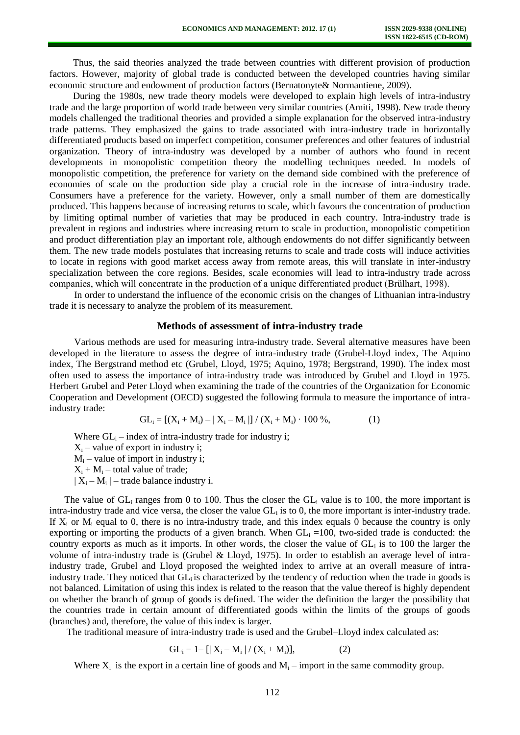Thus, the said theories analyzed the trade between countries with different provision of production factors. However, majority of global trade is conducted between the developed countries having similar economic structure and endowment of production factors (Bernatonyte& Normantiene, 2009).

During the 1980s, new trade theory models were developed to explain high levels of intra-industry trade and the large proportion of world trade between very similar countries (Amiti, 1998). New trade theory models challenged the traditional theories and provided a simple explanation for the observed intra-industry trade patterns. They emphasized the gains to trade associated with intra-industry trade in horizontally differentiated products based on imperfect competition, consumer preferences and other features of industrial organization. Theory of intra-industry was developed by a number of authors who found in recent developments in monopolistic competition theory the modelling techniques needed. In models of monopolistic competition, the preference for variety on the demand side combined with the preference of economies of scale on the production side play a crucial role in the increase of intra-industry trade. Consumers have a preference for the variety. However, only a small number of them are domestically produced. This happens because of increasing returns to scale, which favours the concentration of production by limiting optimal number of varieties that may be produced in each country. Intra-industry trade is prevalent in regions and industries where increasing return to scale in production, monopolistic competition and product differentiation play an important role, although endowments do not differ significantly between them. The new trade models postulates that increasing returns to scale and trade costs will induce activities to locate in regions with good market access away from remote areas, this will translate in inter-industry specialization between the core regions. Besides, scale economies will lead to intra-industry trade across companies, which will concentrate in the production of a unique differentiated product (Brülhart, 1998).

In order to understand the influence of the economic crisis on the changes of Lithuanian intra-industry trade it is necessary to analyze the problem of its measurement.

## **Methods of assessment of intra-industry trade**

Various methods are used for measuring intra-industry trade. Several alternative measures have been developed in the literature to assess the degree of intra-industry trade (Grubel-Lloyd index, The Aquino index, The Bergstrand method etc (Grubel, Lloyd, 1975; Aquino, 1978; Bergstrand, 1990). The index most often used to assess the importance of intra-industry trade was introduced by Grubel and Lloyd in 1975. Herbert Grubel and Peter Lloyd when examining the trade of the countries of the Organization for Economic Cooperation and Development (OECD) suggested the following formula to measure the importance of intraindustry trade:

$$
GL_i = [(X_i + M_i) - |X_i - M_i|] / (X_i + M_i) \cdot 100\%,
$$
 (1)

Where  $GL_i$  – index of intra-industry trade for industry i;  $X_i$  – value of export in industry i;  $M_i$  – value of import in industry i;  $X_i + M_i$  – total value of trade;  $|X_i - M_i|$  – trade balance industry i.

The value of  $GL_i$  ranges from 0 to 100. Thus the closer the  $GL_i$  value is to 100, the more important is intra-industry trade and vice versa, the closer the value  $GL_i$  is to 0, the more important is inter-industry trade. If  $X_i$  or  $M_i$  equal to 0, there is no intra-industry trade, and this index equals 0 because the country is only exporting or importing the products of a given branch. When  $GL_i = 100$ , two-sided trade is conducted: the country exports as much as it imports. In other words, the closer the value of  $GL_i$  is to 100 the larger the volume of intra-industry trade is (Grubel & Lloyd, 1975). In order to establish an average level of intraindustry trade, Grubel and Lloyd proposed the weighted index to arrive at an overall measure of intraindustry trade. They noticed that GL<sub>i</sub> is characterized by the tendency of reduction when the trade in goods is not balanced. Limitation of using this index is related to the reason that the value thereof is highly dependent on whether the branch of group of goods is defined. The wider the definition the larger the possibility that the countries trade in certain amount of differentiated goods within the limits of the groups of goods (branches) and, therefore, the value of this index is larger.

The traditional measure of intra-industry trade is used and the Grubel–Lloyd index calculated as:

$$
GL_i = 1 - [|X_i - M_i| / (X_i + M_i)], \qquad (2)
$$

Where  $X_i$  is the export in a certain line of goods and  $M_i$  – import in the same commodity group.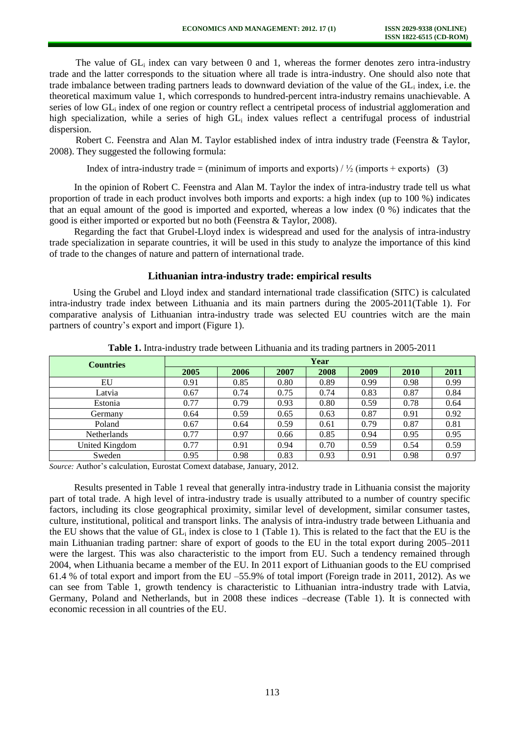The value of  $GL_i$  index can vary between 0 and 1, whereas the former denotes zero intra-industry trade and the latter corresponds to the situation where all trade is intra-industry. One should also note that trade imbalance between trading partners leads to downward deviation of the value of the GL<sub>i</sub> index, i.e. the theoretical maximum value 1, which corresponds to hundred-percent intra-industry remains unachievable. A series of low GL<sub>i</sub> index of one region or country reflect a centripetal process of industrial agglomeration and high specialization, while a series of high GL<sub>i</sub> index values reflect a centrifugal process of industrial dispersion.

Robert C. Feenstra and Alan M. Taylor established index of intra industry trade (Feenstra & Taylor, 2008). They suggested the following formula:

Index of intra-industry trade = (minimum of imports and exports)  $/ \frac{1}{2}$  (imports + exports) (3)

In the opinion of Robert C. Feenstra and Alan M. Taylor the index of intra-industry trade tell us what proportion of trade in each product involves both imports and exports: a high index (up to 100 %) indicates that an equal amount of the good is imported and exported, whereas a low index (0 %) indicates that the good is either imported or exported but no both (Feenstra & Taylor, 2008).

Regarding the fact that Grubel-Lloyd index is widespread and used for the analysis of intra-industry trade specialization in separate countries, it will be used in this study to analyze the importance of this kind of trade to the changes of nature and pattern of international trade.

## **Lithuanian intra-industry trade: empirical results**

Using the Grubel and Lloyd index and standard international trade classification (SITC) is calculated intra-industry trade index between Lithuania and its main partners during the 2005-2011(Table 1). For comparative analysis of Lithuanian intra-industry trade was selected EU countries witch are the main partners of country's export and import (Figure 1).

| <b>Countries</b>   | Year |      |      |      |      |      |      |  |
|--------------------|------|------|------|------|------|------|------|--|
|                    | 2005 | 2006 | 2007 | 2008 | 2009 | 2010 | 2011 |  |
| EU                 | 0.91 | 0.85 | 0.80 | 0.89 | 0.99 | 0.98 | 0.99 |  |
| Latvia             | 0.67 | 0.74 | 0.75 | 0.74 | 0.83 | 0.87 | 0.84 |  |
| Estonia            | 0.77 | 0.79 | 0.93 | 0.80 | 0.59 | 0.78 | 0.64 |  |
| Germany            | 0.64 | 0.59 | 0.65 | 0.63 | 0.87 | 0.91 | 0.92 |  |
| Poland             | 0.67 | 0.64 | 0.59 | 0.61 | 0.79 | 0.87 | 0.81 |  |
| <b>Netherlands</b> | 0.77 | 0.97 | 0.66 | 0.85 | 0.94 | 0.95 | 0.95 |  |
| United Kingdom     | 0.77 | 0.91 | 0.94 | 0.70 | 0.59 | 0.54 | 0.59 |  |
| Sweden             | 0.95 | 0.98 | 0.83 | 0.93 | 0.91 | 0.98 | 0.97 |  |

**Table 1.** Intra-industry trade between Lithuania and its trading partners in 2005-2011

*Source:* Author's calculation, Eurostat Comext database, January, 2012.

Results presented in Table 1 reveal that generally intra-industry trade in Lithuania consist the majority part of total trade. A high level of intra-industry trade is usually attributed to a number of country specific factors, including its close geographical proximity, similar level of development, similar consumer tastes, culture, institutional, political and transport links. The analysis of intra-industry trade between Lithuania and the EU shows that the value of  $GL_i$  index is close to 1 (Table 1). This is related to the fact that the EU is the main Lithuanian trading partner: share of export of goods to the EU in the total export during 2005–2011 were the largest. This was also characteristic to the import from EU. Such a tendency remained through 2004, when Lithuania became a member of the EU. In 2011 export of Lithuanian goods to the EU comprised 61.4 % of total export and import from the EU –55.9% of total import (Foreign trade in 2011, 2012). As we can see from Table 1, growth tendency is characteristic to Lithuanian intra-industry trade with Latvia, Germany, Poland and Netherlands, but in 2008 these indices –decrease (Table 1). It is connected with economic recession in all countries of the EU.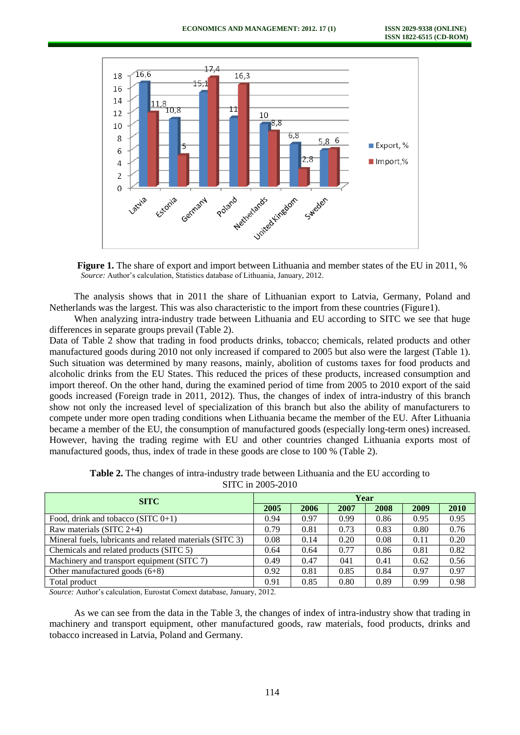

**Figure 1.** The share of export and import between Lithuania and member states of the EU in 2011, % *Source:* Author's calculation, Statistics database of Lithuania, January, 2012.

The analysis shows that in 2011 the share of Lithuanian export to Latvia, Germany, Poland and Netherlands was the largest. This was also characteristic to the import from these countries (Figure1).

When analyzing intra-industry trade between Lithuania and EU according to SITC we see that huge differences in separate groups prevail (Table 2).

Data of Table 2 show that trading in food products drinks, tobacco; chemicals, related products and other manufactured goods during 2010 not only increased if compared to 2005 but also were the largest (Table 1). Such situation was determined by many reasons, mainly, abolition of customs taxes for food products and alcoholic drinks from the EU States. This reduced the prices of these products, increased consumption and import thereof. On the other hand, during the examined period of time from 2005 to 2010 export of the said goods increased (Foreign trade in 2011, 2012). Thus, the changes of index of intra-industry of this branch show not only the increased level of specialization of this branch but also the ability of manufacturers to compete under more open trading conditions when Lithuania became the member of the EU. After Lithuania became a member of the EU, the consumption of manufactured goods (especially long-term ones) increased. However, having the trading regime with EU and other countries changed Lithuania exports most of manufactured goods, thus, index of trade in these goods are close to 100 % (Table 2).

| <b>SITC</b>                                              |  | Year |      |      |      |      |  |  |
|----------------------------------------------------------|--|------|------|------|------|------|--|--|
|                                                          |  | 2006 | 2007 | 2008 | 2009 | 2010 |  |  |
| Food, drink and tobacco $(SITC 0+1)$                     |  | 0.97 | 0.99 | 0.86 | 0.95 | 0.95 |  |  |
| Raw materials (SITC $2+4$ )                              |  | 0.81 | 0.73 | 0.83 | 0.80 | 0.76 |  |  |
| Mineral fuels, lubricants and related materials (SITC 3) |  | 0.14 | 0.20 | 0.08 | 0.11 | 0.20 |  |  |
| Chemicals and related products (SITC 5)                  |  | 0.64 | 0.77 | 0.86 | 0.81 | 0.82 |  |  |
| Machinery and transport equipment (SITC 7)               |  | 0.47 | 041  | 0.41 | 0.62 | 0.56 |  |  |
| Other manufactured goods $(6+8)$                         |  | 0.81 | 0.85 | 0.84 | 0.97 | 0.97 |  |  |
| Total product                                            |  | 0.85 | 0.80 | 0.89 | 0.99 | 0.98 |  |  |

**Table 2.** The changes of intra-industry trade between Lithuania and the EU according to SITC in 2005-2010

*Source:* Author's calculation, Eurostat Comext database, January, 2012.

As we can see from the data in the Table 3, the changes of index of intra-industry show that trading in machinery and transport equipment, other manufactured goods, raw materials, food products, drinks and tobacco increased in Latvia, Poland and Germany.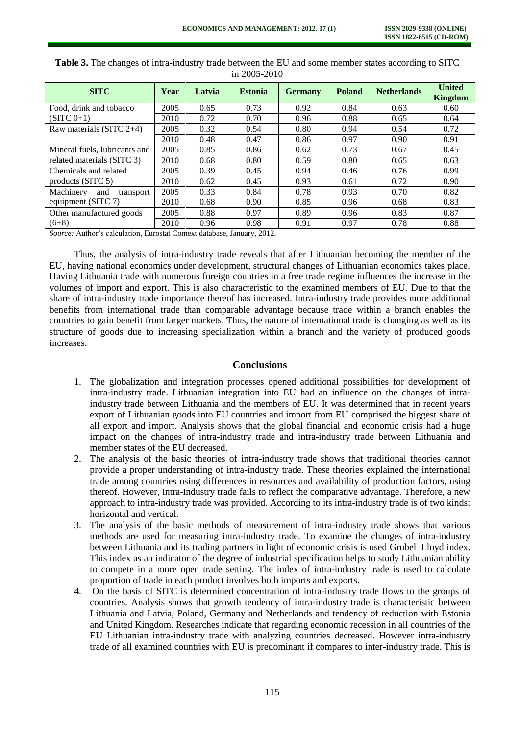| <b>SITC</b>                   | Year | Latvia | <b>Estonia</b> | <b>Germany</b> | <b>Poland</b> | <b>Netherlands</b> | <b>United</b><br><b>Kingdom</b> |
|-------------------------------|------|--------|----------------|----------------|---------------|--------------------|---------------------------------|
| Food, drink and tobacco       | 2005 | 0.65   | 0.73           | 0.92           | 0.84          | 0.63               | 0.60                            |
| $(SITC 0+1)$                  | 2010 | 0.72   | 0.70           | 0.96           | 0.88          | 0.65               | 0.64                            |
| Raw materials (SITC $2+4$ )   | 2005 | 0.32   | 0.54           | 0.80           | 0.94          | 0.54               | 0.72                            |
|                               | 2010 | 0.48   | 0.47           | 0.86           | 0.97          | 0.90               | 0.91                            |
| Mineral fuels, lubricants and | 2005 | 0.85   | 0.86           | 0.62           | 0.73          | 0.67               | 0.45                            |
| related materials (SITC 3)    | 2010 | 0.68   | 0.80           | 0.59           | 0.80          | 0.65               | 0.63                            |
| Chemicals and related         | 2005 | 0.39   | 0.45           | 0.94           | 0.46          | 0.76               | 0.99                            |
| products $(SITC 5)$           | 2010 | 0.62   | 0.45           | 0.93           | 0.61          | 0.72               | 0.90                            |
| Machinery<br>and<br>transport | 2005 | 0.33   | 0.84           | 0.78           | 0.93          | 0.70               | 0.82                            |
| equipment (SITC 7)            | 2010 | 0.68   | 0.90           | 0.85           | 0.96          | 0.68               | 0.83                            |
| Other manufactured goods      | 2005 | 0.88   | 0.97           | 0.89           | 0.96          | 0.83               | 0.87                            |
| $(6+8)$                       | 2010 | 0.96   | 0.98           | 0.91           | 0.97          | 0.78               | 0.88                            |

| <b>Table 3.</b> The changes of intra-industry trade between the EU and some member states according to SITC |                  |  |
|-------------------------------------------------------------------------------------------------------------|------------------|--|
|                                                                                                             | in $2005 - 2010$ |  |

*Source:* Author's calculation, Eurostat Comext database, January, 2012.

Thus, the analysis of intra-industry trade reveals that after Lithuanian becoming the member of the EU, having national economics under development, structural changes of Lithuanian economics takes place. Having Lithuania trade with numerous foreign countries in a free trade regime influences the increase in the volumes of import and export. This is also characteristic to the examined members of EU. Due to that the share of intra-industry trade importance thereof has increased. Intra-industry trade provides more additional benefits from international trade than comparable advantage because trade within a branch enables the countries to gain benefit from larger markets. Thus, the nature of international trade is changing as well as its structure of goods due to increasing specialization within a branch and the variety of produced goods increases.

#### **Conclusions**

- 1. The globalization and integration processes opened additional possibilities for development of intra-industry trade. Lithuanian integration into EU had an influence on the changes of intraindustry trade between Lithuania and the members of EU. It was determined that in recent years export of Lithuanian goods into EU countries and import from EU comprised the biggest share of all export and import. Analysis shows that the global financial and economic crisis had a huge impact on the changes of intra-industry trade and intra-industry trade between Lithuania and member states of the EU decreased.
- 2. The analysis of the basic theories of intra-industry trade shows that traditional theories cannot provide a proper understanding of intra-industry trade. These theories explained the international trade among countries using differences in resources and availability of production factors, using thereof. However, intra-industry trade fails to reflect the comparative advantage. Therefore, a new approach to intra-industry trade was provided. According to its intra-industry trade is of two kinds: horizontal and vertical.
- 3. The analysis of the basic methods of measurement of intra-industry trade shows that various methods are used for measuring intra-industry trade. To examine the changes of intra-industry between Lithuania and its trading partners in light of economic crisis is used Grubel–Lloyd index. This index as an indicator of the degree of industrial specification helps to study Lithuanian ability to compete in a more open trade setting. The index of intra-industry trade is used to calculate proportion of trade in each product involves both imports and exports.
- 4. On the basis of SITC is determined concentration of intra-industry trade flows to the groups of countries. Analysis shows that growth tendency of intra-industry trade is characteristic between Lithuania and Latvia, Poland, Germany and Netherlands and tendency of reduction with Estonia and United Kingdom. Researches indicate that regarding economic recession in all countries of the EU Lithuanian intra-industry trade with analyzing countries decreased. However intra-industry trade of all examined countries with EU is predominant if compares to inter-industry trade. This is